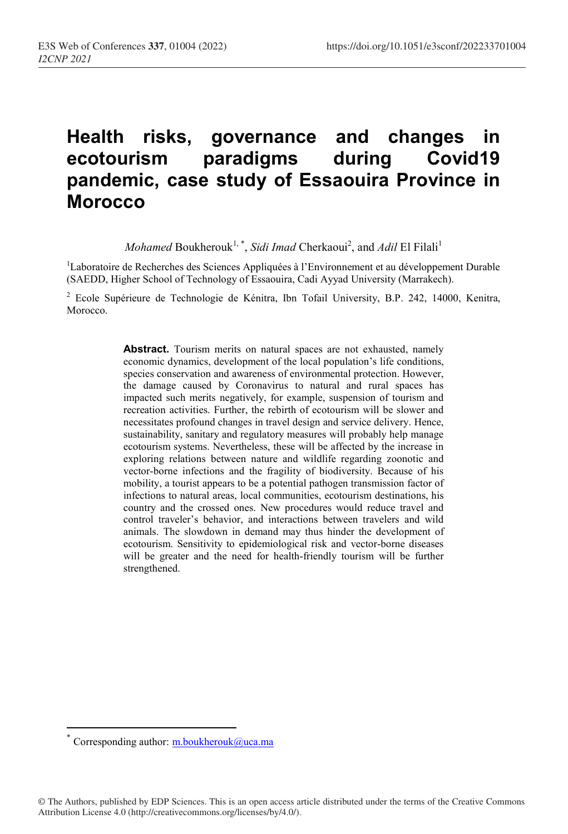# Health risks, governance and changes in ecotourism paradigms during Covid19 pandemic, case study of Essaouira Province in **Morocco**

Mohamed Boukherouk<sup>1,\*</sup>, Sidi Imad Cherkaoui<sup>2</sup>, and Adil El Filali<sup>1</sup>

<sup>1</sup>Laboratoire de Recherches des Sciences Appliquées à l'Environnement et au développement Durable (SAEDD, Higher School of Technology of Essaouira, Cadi Ayyad University (Marrakech).

<sup>2</sup> Ecole Supérieure de Technologie de Kénitra, Ibn Tofail University, B.P. 242, 14000, Kenitra, Morocco.

> Abstract. Tourism merits on natural spaces are not exhausted, namely economic dynamics, development of the local population's life conditions, species conservation and awareness of environmental protection. However, the damage caused by Coronavirus to natural and rural spaces has impacted such merits negatively, for example, suspension of tourism and recreation activities. Further, the rebirth of ecotourism will be slower and necessitates profound changes in travel design and service delivery. Hence, sustainability, sanitary and regulatory measures will probably help manage ecotourism systems. Nevertheless, these will be affected by the increase in exploring relations between nature and wildlife regarding zoonotic and vector-borne infections and the fragility of biodiversity. Because of his mobility, a tourist appears to be a potential pathogen transmission factor of infections to natural areas, local communities, ecotourism destinations, his country and the crossed ones. New procedures would reduce travel and control traveler's behavior, and interactions between travelers and wild animals. The slowdown in demand may thus hinder the development of ecotourism. Sensitivity to epidemiological risk and vector-borne diseases will be greater and the need for health-friendly tourism will be further strengthened.

 $\overline{a}$ 

Corresponding author: m.boukherouk@uca.ma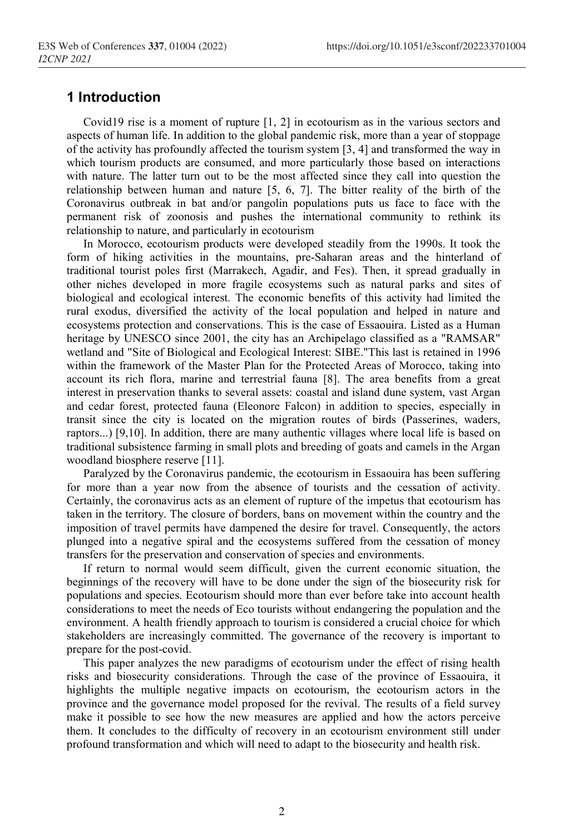## 1 Introduction

Covid19 rise is a moment of rupture [1, 2] in ecotourism as in the various sectors and aspects of human life. In addition to the global pandemic risk, more than a year of stoppage of the activity has profoundly affected the tourism system [3, 4] and transformed the way in which tourism products are consumed, and more particularly those based on interactions with nature. The latter turn out to be the most affected since they call into question the relationship between human and nature [5, 6, 7]. The bitter reality of the birth of the Coronavirus outbreak in bat and/or pangolin populations puts us face to face with the permanent risk of zoonosis and pushes the international community to rethink its relationship to nature, and particularly in ecotourism

In Morocco, ecotourism products were developed steadily from the 1990s. It took the form of hiking activities in the mountains, pre-Saharan areas and the hinterland of traditional tourist poles first (Marrakech, Agadir, and Fes). Then, it spread gradually in other niches developed in more fragile ecosystems such as natural parks and sites of biological and ecological interest. The economic benefits of this activity had limited the rural exodus, diversified the activity of the local population and helped in nature and ecosystems protection and conservations. This is the case of Essaouira. Listed as a Human heritage by UNESCO since 2001, the city has an Archipelago classified as a "RAMSAR" wetland and "Site of Biological and Ecological Interest: SIBE."This last is retained in 1996 within the framework of the Master Plan for the Protected Areas of Morocco, taking into account its rich flora, marine and terrestrial fauna [8]. The area benefits from a great interest in preservation thanks to several assets: coastal and island dune system, vast Argan and cedar forest, protected fauna (Eleonore Falcon) in addition to species, especially in transit since the city is located on the migration routes of birds (Passerines, waders, raptors...) [9,10]. In addition, there are many authentic villages where local life is based on traditional subsistence farming in small plots and breeding of goats and camels in the Argan woodland biosphere reserve [11].

Paralyzed by the Coronavirus pandemic, the ecotourism in Essaouira has been suffering for more than a year now from the absence of tourists and the cessation of activity. Certainly, the coronavirus acts as an element of rupture of the impetus that ecotourism has taken in the territory. The closure of borders, bans on movement within the country and the imposition of travel permits have dampened the desire for travel. Consequently, the actors plunged into a negative spiral and the ecosystems suffered from the cessation of money transfers for the preservation and conservation of species and environments.

If return to normal would seem difficult, given the current economic situation, the beginnings of the recovery will have to be done under the sign of the biosecurity risk for populations and species. Ecotourism should more than ever before take into account health considerations to meet the needs of Eco tourists without endangering the population and the environment. A health friendly approach to tourism is considered a crucial choice for which stakeholders are increasingly committed. The governance of the recovery is important to prepare for the post-covid.

This paper analyzes the new paradigms of ecotourism under the effect of rising health risks and biosecurity considerations. Through the case of the province of Essaouira, it highlights the multiple negative impacts on ecotourism, the ecotourism actors in the province and the governance model proposed for the revival. The results of a field survey make it possible to see how the new measures are applied and how the actors perceive them. It concludes to the difficulty of recovery in an ecotourism environment still under profound transformation and which will need to adapt to the biosecurity and health risk.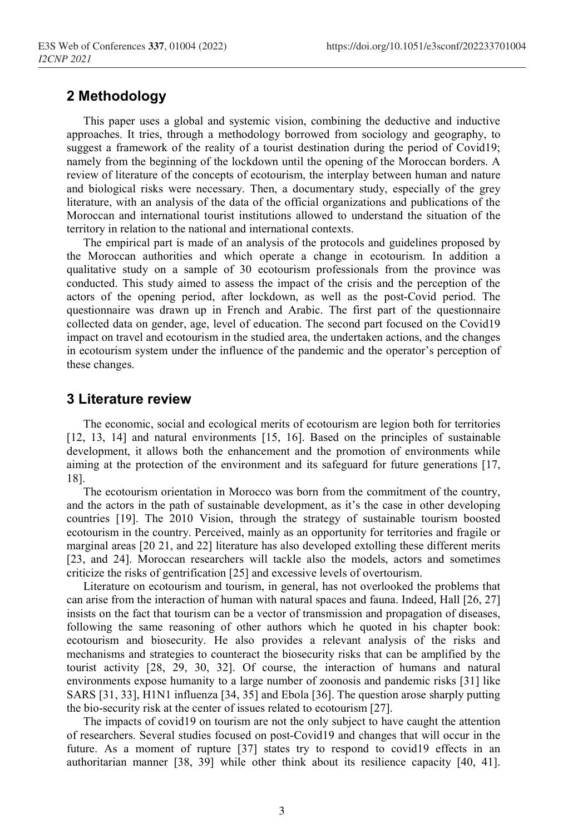#### 2 Methodology

This paper uses a global and systemic vision, combining the deductive and inductive approaches. It tries, through a methodology borrowed from sociology and geography, to suggest a framework of the reality of a tourist destination during the period of Covid19; namely from the beginning of the lockdown until the opening of the Moroccan borders. A review of literature of the concepts of ecotourism, the interplay between human and nature and biological risks were necessary. Then, a documentary study, especially of the grey literature, with an analysis of the data of the official organizations and publications of the Moroccan and international tourist institutions allowed to understand the situation of the territory in relation to the national and international contexts.

The empirical part is made of an analysis of the protocols and guidelines proposed by the Moroccan authorities and which operate a change in ecotourism. In addition a qualitative study on a sample of 30 ecotourism professionals from the province was conducted. This study aimed to assess the impact of the crisis and the perception of the actors of the opening period, after lockdown, as well as the post-Covid period. The questionnaire was drawn up in French and Arabic. The first part of the questionnaire collected data on gender, age, level of education. The second part focused on the Covid19 impact on travel and ecotourism in the studied area, the undertaken actions, and the changes in ecotourism system under the influence of the pandemic and the operator's perception of these changes.

#### 3 Literature review

The economic, social and ecological merits of ecotourism are legion both for territories [12, 13, 14] and natural environments [15, 16]. Based on the principles of sustainable development, it allows both the enhancement and the promotion of environments while aiming at the protection of the environment and its safeguard for future generations [17, 18].

The ecotourism orientation in Morocco was born from the commitment of the country, and the actors in the path of sustainable development, as it's the case in other developing countries [19]. The 2010 Vision, through the strategy of sustainable tourism boosted ecotourism in the country. Perceived, mainly as an opportunity for territories and fragile or marginal areas [20 21, and 22] literature has also developed extolling these different merits [23, and 24]. Moroccan researchers will tackle also the models, actors and sometimes criticize the risks of gentrification [25] and excessive levels of overtourism.

Literature on ecotourism and tourism, in general, has not overlooked the problems that can arise from the interaction of human with natural spaces and fauna. Indeed, Hall [26, 27] insists on the fact that tourism can be a vector of transmission and propagation of diseases, following the same reasoning of other authors which he quoted in his chapter book: ecotourism and biosecurity. He also provides a relevant analysis of the risks and mechanisms and strategies to counteract the biosecurity risks that can be amplified by the tourist activity [28, 29, 30, 32]. Of course, the interaction of humans and natural environments expose humanity to a large number of zoonosis and pandemic risks [31] like SARS [31, 33], H1N1 influenza [34, 35] and Ebola [36]. The question arose sharply putting the bio-security risk at the center of issues related to ecotourism [27].

The impacts of covid19 on tourism are not the only subject to have caught the attention of researchers. Several studies focused on post-Covid19 and changes that will occur in the future. As a moment of rupture [37] states try to respond to covid19 effects in an authoritarian manner [38, 39] while other think about its resilience capacity [40, 41].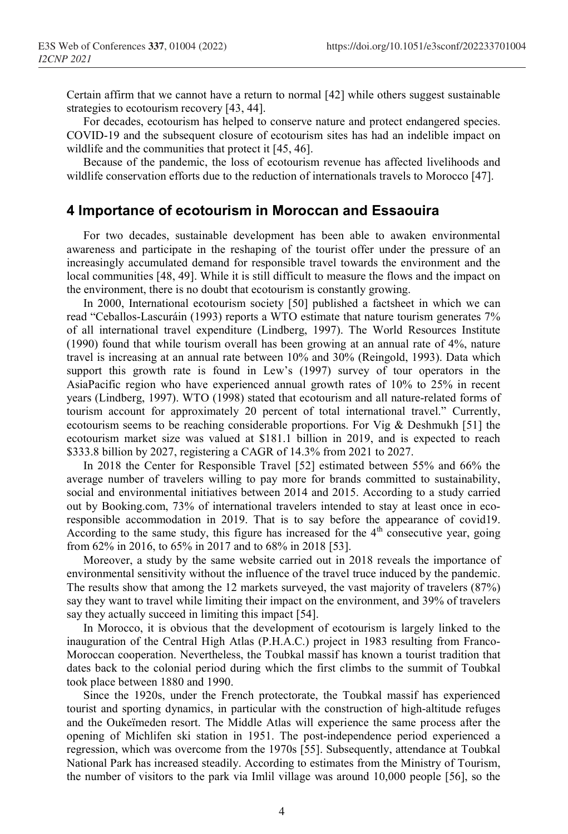Certain affirm that we cannot have a return to normal [42] while others suggest sustainable strategies to ecotourism recovery [43, 44].

For decades, ecotourism has helped to conserve nature and protect endangered species. COVID-19 and the subsequent closure of ecotourism sites has had an indelible impact on wildlife and the communities that protect it [45, 46].

Because of the pandemic, the loss of ecotourism revenue has affected livelihoods and wildlife conservation efforts due to the reduction of internationals travels to Morocco [47].

#### 4 Importance of ecotourism in Moroccan and Essaouira

For two decades, sustainable development has been able to awaken environmental awareness and participate in the reshaping of the tourist offer under the pressure of an increasingly accumulated demand for responsible travel towards the environment and the local communities [48, 49]. While it is still difficult to measure the flows and the impact on the environment, there is no doubt that ecotourism is constantly growing.

In 2000, International ecotourism society [50] published a factsheet in which we can read "Ceballos-Lascuráin (1993) reports a WTO estimate that nature tourism generates 7% of all international travel expenditure (Lindberg, 1997). The World Resources Institute (1990) found that while tourism overall has been growing at an annual rate of 4%, nature travel is increasing at an annual rate between 10% and 30% (Reingold, 1993). Data which support this growth rate is found in Lew's (1997) survey of tour operators in the AsiaPacific region who have experienced annual growth rates of 10% to 25% in recent years (Lindberg, 1997). WTO (1998) stated that ecotourism and all nature-related forms of tourism account for approximately 20 percent of total international travel." Currently, ecotourism seems to be reaching considerable proportions. For Vig & Deshmukh [51] the ecotourism market size was valued at \$181.1 billion in 2019, and is expected to reach \$333.8 billion by 2027, registering a CAGR of 14.3% from 2021 to 2027.

In 2018 the Center for Responsible Travel [52] estimated between 55% and 66% the average number of travelers willing to pay more for brands committed to sustainability, social and environmental initiatives between 2014 and 2015. According to a study carried out by Booking.com, 73% of international travelers intended to stay at least once in ecoresponsible accommodation in 2019. That is to say before the appearance of covid19. According to the same study, this figure has increased for the  $4<sup>th</sup>$  consecutive year, going from 62% in 2016, to 65% in 2017 and to 68% in 2018 [53].

Moreover, a study by the same website carried out in 2018 reveals the importance of environmental sensitivity without the influence of the travel truce induced by the pandemic. The results show that among the 12 markets surveyed, the vast majority of travelers (87%) say they want to travel while limiting their impact on the environment, and 39% of travelers say they actually succeed in limiting this impact [54].

In Morocco, it is obvious that the development of ecotourism is largely linked to the inauguration of the Central High Atlas (P.H.A.C.) project in 1983 resulting from Franco-Moroccan cooperation. Nevertheless, the Toubkal massif has known a tourist tradition that dates back to the colonial period during which the first climbs to the summit of Toubkal took place between 1880 and 1990.

Since the 1920s, under the French protectorate, the Toubkal massif has experienced tourist and sporting dynamics, in particular with the construction of high-altitude refuges and the Oukeïmeden resort. The Middle Atlas will experience the same process after the opening of Michlifen ski station in 1951. The post-independence period experienced a regression, which was overcome from the 1970s [55]. Subsequently, attendance at Toubkal National Park has increased steadily. According to estimates from the Ministry of Tourism, the number of visitors to the park via Imlil village was around 10,000 people [56], so the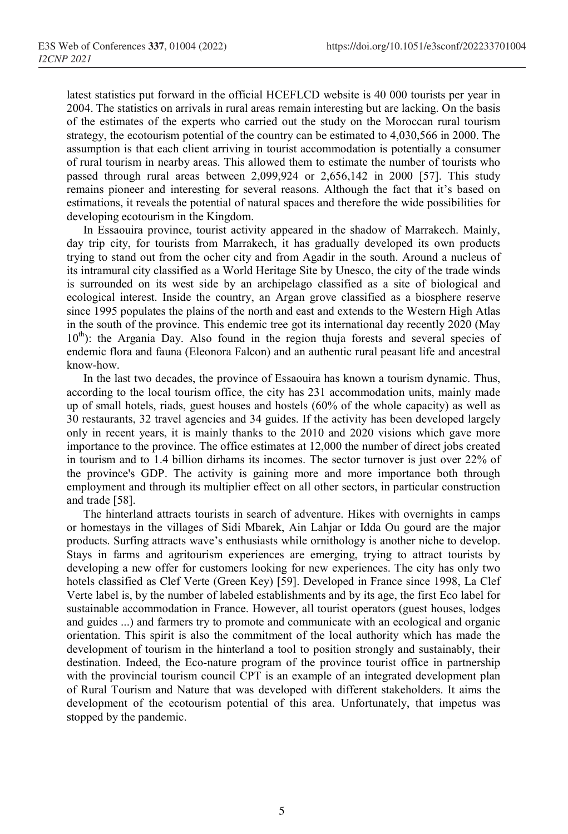latest statistics put forward in the official HCEFLCD website is 40 000 tourists per year in 2004. The statistics on arrivals in rural areas remain interesting but are lacking. On the basis of the estimates of the experts who carried out the study on the Moroccan rural tourism strategy, the ecotourism potential of the country can be estimated to 4,030,566 in 2000. The assumption is that each client arriving in tourist accommodation is potentially a consumer of rural tourism in nearby areas. This allowed them to estimate the number of tourists who passed through rural areas between 2,099,924 or 2,656,142 in 2000 [57]. This study remains pioneer and interesting for several reasons. Although the fact that it's based on estimations, it reveals the potential of natural spaces and therefore the wide possibilities for developing ecotourism in the Kingdom.

In Essaouira province, tourist activity appeared in the shadow of Marrakech. Mainly, day trip city, for tourists from Marrakech, it has gradually developed its own products trying to stand out from the ocher city and from Agadir in the south. Around a nucleus of its intramural city classified as a World Heritage Site by Unesco, the city of the trade winds is surrounded on its west side by an archipelago classified as a site of biological and ecological interest. Inside the country, an Argan grove classified as a biosphere reserve since 1995 populates the plains of the north and east and extends to the Western High Atlas in the south of the province. This endemic tree got its international day recently 2020 (May  $10<sup>th</sup>$ : the Argania Day. Also found in the region thuja forests and several species of endemic flora and fauna (Eleonora Falcon) and an authentic rural peasant life and ancestral know-how.

In the last two decades, the province of Essaouira has known a tourism dynamic. Thus, according to the local tourism office, the city has 231 accommodation units, mainly made up of small hotels, riads, guest houses and hostels (60% of the whole capacity) as well as 30 restaurants, 32 travel agencies and 34 guides. If the activity has been developed largely only in recent years, it is mainly thanks to the 2010 and 2020 visions which gave more importance to the province. The office estimates at 12,000 the number of direct jobs created in tourism and to 1.4 billion dirhams its incomes. The sector turnover is just over 22% of the province's GDP. The activity is gaining more and more importance both through employment and through its multiplier effect on all other sectors, in particular construction and trade [58].

The hinterland attracts tourists in search of adventure. Hikes with overnights in camps or homestays in the villages of Sidi Mbarek, Ain Lahjar or Idda Ou gourd are the major products. Surfing attracts wave's enthusiasts while ornithology is another niche to develop. Stays in farms and agritourism experiences are emerging, trying to attract tourists by developing a new offer for customers looking for new experiences. The city has only two hotels classified as Clef Verte (Green Key) [59]. Developed in France since 1998, La Clef Verte label is, by the number of labeled establishments and by its age, the first Eco label for sustainable accommodation in France. However, all tourist operators (guest houses, lodges and guides ...) and farmers try to promote and communicate with an ecological and organic orientation. This spirit is also the commitment of the local authority which has made the development of tourism in the hinterland a tool to position strongly and sustainably, their destination. Indeed, the Eco-nature program of the province tourist office in partnership with the provincial tourism council CPT is an example of an integrated development plan of Rural Tourism and Nature that was developed with different stakeholders. It aims the development of the ecotourism potential of this area. Unfortunately, that impetus was stopped by the pandemic.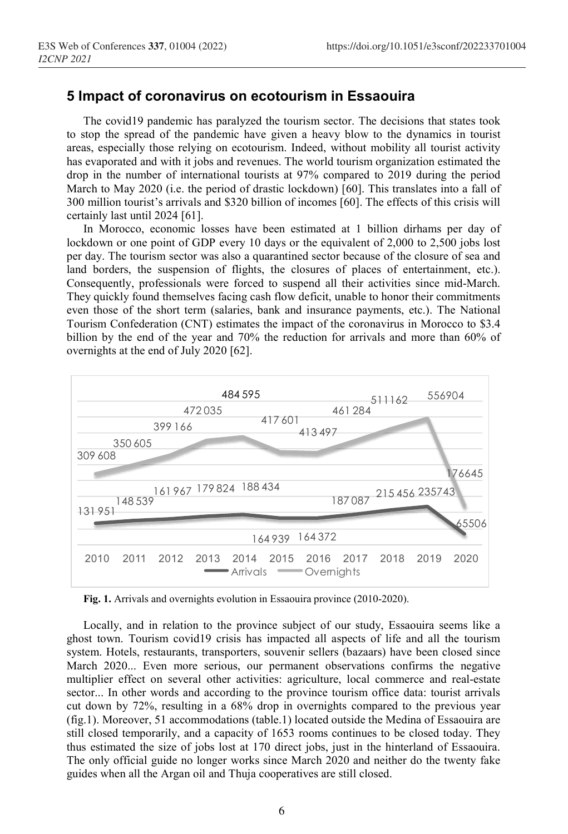## 5 Impact of coronavirus on ecotourism in Essaouira

The covid19 pandemic has paralyzed the tourism sector. The decisions that states took to stop the spread of the pandemic have given a heavy blow to the dynamics in tourist areas, especially those relying on ecotourism. Indeed, without mobility all tourist activity has evaporated and with it jobs and revenues. The world tourism organization estimated the drop in the number of international tourists at 97% compared to 2019 during the period March to May 2020 (i.e. the period of drastic lockdown) [60]. This translates into a fall of 300 million tourist's arrivals and \$320 billion of incomes [60]. The effects of this crisis will certainly last until 2024 [61].

In Morocco, economic losses have been estimated at 1 billion dirhams per day of lockdown or one point of GDP every 10 days or the equivalent of 2,000 to 2,500 jobs lost per day. The tourism sector was also a quarantined sector because of the closure of sea and land borders, the suspension of flights, the closures of places of entertainment, etc.). Consequently, professionals were forced to suspend all their activities since mid-March. They quickly found themselves facing cash flow deficit, unable to honor their commitments even those of the short term (salaries, bank and insurance payments, etc.). The National Tourism Confederation (CNT) estimates the impact of the coronavirus in Morocco to \$3.4 billion by the end of the year and 70% the reduction for arrivals and more than 60% of overnights at the end of July 2020 [62]. andemic has paralyzed the tourism sector. The decisions that states took<br>of the pandemic have given a heavy blow to the dynamics in tourist<br>hose relying on ecotourism. Indeed, without mobility all tourist activity<br>d with ic has paralyzed the tourism sector. The decisions that states took<br>
ic has paralyzed the tourism sector. The decisions that states took<br>
e pandemic have given a heavy blow to the dynamics in tourist<br>
elying on ecotourism the tourism sector. The decisions that states took<br>e given a heavy blow to the dynamics in tourist<br>urism. Indeed, without mobility all tourist activity<br>uuss. The world tourism organization estimated the<br>ists at 97% compar From Section. The decisions that states took<br>a heavy blow to the dynamics in tourist<br>a heavy blow to the dynamics in tourist<br>deed, without mobility all tourist activity<br> $P7\%$  compared to 2019 during the period<br> $xkdown$  [60] transfer and the decisions that states took<br>without mobility all tourist activity<br>tourism organization estimated the<br>mpared to 2019 during the period<br>(a) [60]. This translates into a fall of<br>s [60]. The effects of this cr



Fig. 1. Arrivals and overnights evolution in Essaouira province (2010-2020).

Locally, and in relation to the province subject of our study, Essaouira seems like a ghost town. Tourism covid19 crisis has impacted all aspects of life and all the tourism system. Hotels, restaurants, transporters, souvenir sellers (bazaars) have been closed since March 2020... Even more serious, our permanent observations confirms the negative multiplier effect on several other activities: agriculture, local commerce and real-estate sector... In other words and according to the province tourism office data: tourist arrivals cut down by 72%, resulting in a 68% drop in overnights compared to the previous year (fig.1). Moreover, 51 accommodations (table.1) located outside the Medina of Essaouira are still closed temporarily, and a capacity of 1653 rooms continues to be closed today. They thus estimated the size of jobs lost at 170 direct jobs, just in the hinterland of Essaouira. The only official guide no longer works since March 2020 and neither do the twenty fake guides when all the Argan oil and Thuja cooperatives are still closed.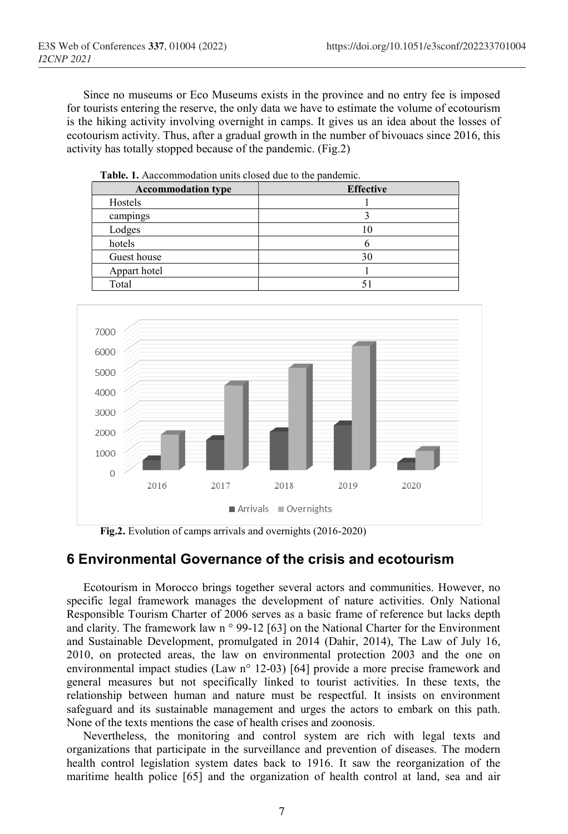Since no museums or Eco Museums exists in the province and no entry fee is imposed for tourists entering the reserve, the only data we have to estimate the volume of ecotourism is the hiking activity involving overnight in camps. It gives us an idea about the losses of ecotourism activity. Thus, after a gradual growth in the number of bivouacs since 2016, this activity has totally stopped because of the pandemic. (Fig.2)

| <b>Accommodation type</b> | <b>Effective</b> |
|---------------------------|------------------|
| Hostels                   |                  |
| campings                  |                  |
| Lodges                    |                  |
| hotels                    |                  |
| Guest house               | 30               |
| Appart hotel              |                  |
| Total                     |                  |

Table. 1. Aaccommodation units closed due to the pandemic.



Fig.2. Evolution of camps arrivals and overnights (2016-2020)

## 6 Environmental Governance of the crisis and ecotourism

Ecotourism in Morocco brings together several actors and communities. However, no specific legal framework manages the development of nature activities. Only National Responsible Tourism Charter of 2006 serves as a basic frame of reference but lacks depth and clarity. The framework law n ° 99-12 [63] on the National Charter for the Environment and Sustainable Development, promulgated in 2014 (Dahir, 2014), The Law of July 16, 2010, on protected areas, the law on environmental protection 2003 and the one on environmental impact studies (Law n° 12-03) [64] provide a more precise framework and general measures but not specifically linked to tourist activities. In these texts, the relationship between human and nature must be respectful. It insists on environment safeguard and its sustainable management and urges the actors to embark on this path. None of the texts mentions the case of health crises and zoonosis.

Nevertheless, the monitoring and control system are rich with legal texts and organizations that participate in the surveillance and prevention of diseases. The modern health control legislation system dates back to 1916. It saw the reorganization of the maritime health police [65] and the organization of health control at land, sea and air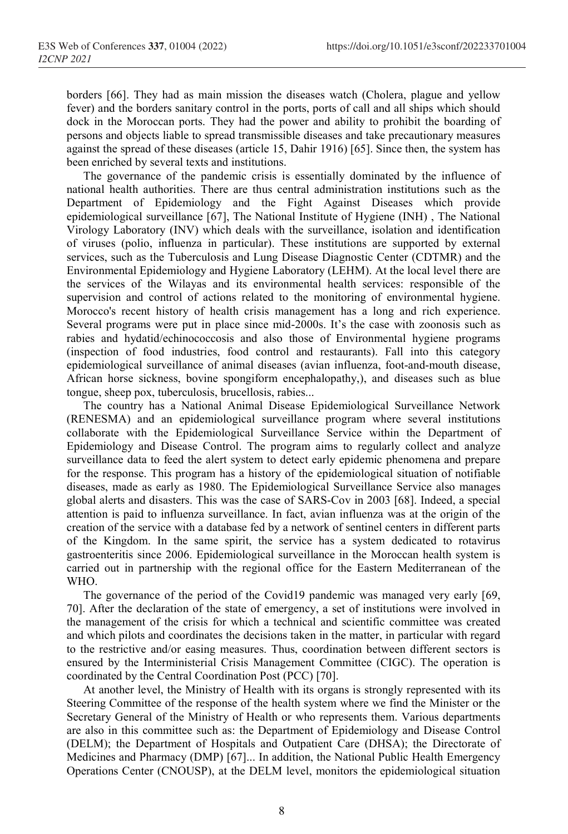borders [66]. They had as main mission the diseases watch (Cholera, plague and yellow fever) and the borders sanitary control in the ports, ports of call and all ships which should dock in the Moroccan ports. They had the power and ability to prohibit the boarding of persons and objects liable to spread transmissible diseases and take precautionary measures against the spread of these diseases (article 15, Dahir 1916) [65]. Since then, the system has been enriched by several texts and institutions.

The governance of the pandemic crisis is essentially dominated by the influence of national health authorities. There are thus central administration institutions such as the Department of Epidemiology and the Fight Against Diseases which provide epidemiological surveillance [67], The National Institute of Hygiene (INH) , The National Virology Laboratory (INV) which deals with the surveillance, isolation and identification of viruses (polio, influenza in particular). These institutions are supported by external services, such as the Tuberculosis and Lung Disease Diagnostic Center (CDTMR) and the Environmental Epidemiology and Hygiene Laboratory (LEHM). At the local level there are the services of the Wilayas and its environmental health services: responsible of the supervision and control of actions related to the monitoring of environmental hygiene. Morocco's recent history of health crisis management has a long and rich experience. Several programs were put in place since mid-2000s. It's the case with zoonosis such as rabies and hydatid/echinococcosis and also those of Environmental hygiene programs (inspection of food industries, food control and restaurants). Fall into this category epidemiological surveillance of animal diseases (avian influenza, foot-and-mouth disease, African horse sickness, bovine spongiform encephalopathy,), and diseases such as blue tongue, sheep pox, tuberculosis, brucellosis, rabies...

The country has a National Animal Disease Epidemiological Surveillance Network (RENESMA) and an epidemiological surveillance program where several institutions collaborate with the Epidemiological Surveillance Service within the Department of Epidemiology and Disease Control. The program aims to regularly collect and analyze surveillance data to feed the alert system to detect early epidemic phenomena and prepare for the response. This program has a history of the epidemiological situation of notifiable diseases, made as early as 1980. The Epidemiological Surveillance Service also manages global alerts and disasters. This was the case of SARS-Cov in 2003 [68]. Indeed, a special attention is paid to influenza surveillance. In fact, avian influenza was at the origin of the creation of the service with a database fed by a network of sentinel centers in different parts of the Kingdom. In the same spirit, the service has a system dedicated to rotavirus gastroenteritis since 2006. Epidemiological surveillance in the Moroccan health system is carried out in partnership with the regional office for the Eastern Mediterranean of the WHO.

The governance of the period of the Covid19 pandemic was managed very early [69, 70]. After the declaration of the state of emergency, a set of institutions were involved in the management of the crisis for which a technical and scientific committee was created and which pilots and coordinates the decisions taken in the matter, in particular with regard to the restrictive and/or easing measures. Thus, coordination between different sectors is ensured by the Interministerial Crisis Management Committee (CIGC). The operation is coordinated by the Central Coordination Post (PCC) [70].

At another level, the Ministry of Health with its organs is strongly represented with its Steering Committee of the response of the health system where we find the Minister or the Secretary General of the Ministry of Health or who represents them. Various departments are also in this committee such as: the Department of Epidemiology and Disease Control (DELM); the Department of Hospitals and Outpatient Care (DHSA); the Directorate of Medicines and Pharmacy (DMP) [67]... In addition, the National Public Health Emergency Operations Center (CNOUSP), at the DELM level, monitors the epidemiological situation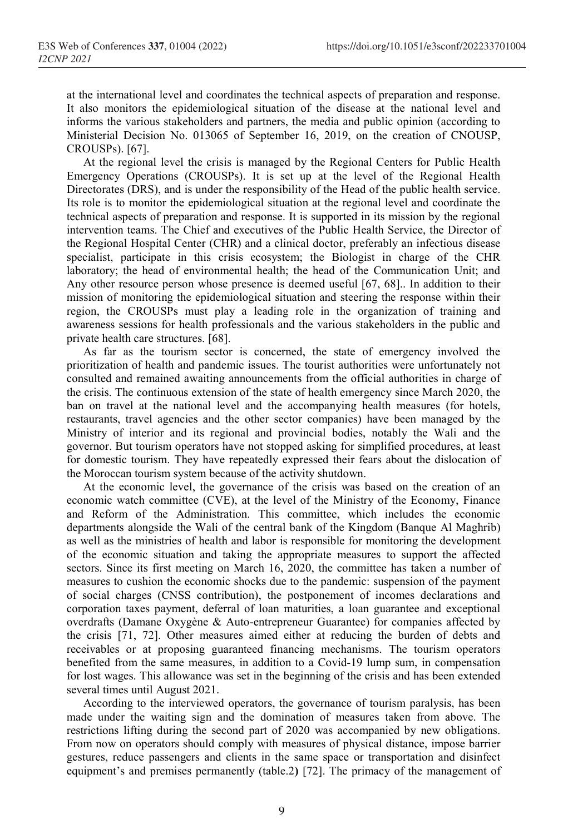at the international level and coordinates the technical aspects of preparation and response. It also monitors the epidemiological situation of the disease at the national level and informs the various stakeholders and partners, the media and public opinion (according to Ministerial Decision No. 013065 of September 16, 2019, on the creation of CNOUSP, CROUSPs). [67].

At the regional level the crisis is managed by the Regional Centers for Public Health Emergency Operations (CROUSPs). It is set up at the level of the Regional Health Directorates (DRS), and is under the responsibility of the Head of the public health service. Its role is to monitor the epidemiological situation at the regional level and coordinate the technical aspects of preparation and response. It is supported in its mission by the regional intervention teams. The Chief and executives of the Public Health Service, the Director of the Regional Hospital Center (CHR) and a clinical doctor, preferably an infectious disease specialist, participate in this crisis ecosystem; the Biologist in charge of the CHR laboratory; the head of environmental health; the head of the Communication Unit; and Any other resource person whose presence is deemed useful [67, 68].. In addition to their mission of monitoring the epidemiological situation and steering the response within their region, the CROUSPs must play a leading role in the organization of training and awareness sessions for health professionals and the various stakeholders in the public and private health care structures. [68].

As far as the tourism sector is concerned, the state of emergency involved the prioritization of health and pandemic issues. The tourist authorities were unfortunately not consulted and remained awaiting announcements from the official authorities in charge of the crisis. The continuous extension of the state of health emergency since March 2020, the ban on travel at the national level and the accompanying health measures (for hotels, restaurants, travel agencies and the other sector companies) have been managed by the Ministry of interior and its regional and provincial bodies, notably the Wali and the governor. But tourism operators have not stopped asking for simplified procedures, at least for domestic tourism. They have repeatedly expressed their fears about the dislocation of the Moroccan tourism system because of the activity shutdown.

At the economic level, the governance of the crisis was based on the creation of an economic watch committee (CVE), at the level of the Ministry of the Economy, Finance and Reform of the Administration. This committee, which includes the economic departments alongside the Wali of the central bank of the Kingdom (Banque Al Maghrib) as well as the ministries of health and labor is responsible for monitoring the development of the economic situation and taking the appropriate measures to support the affected sectors. Since its first meeting on March 16, 2020, the committee has taken a number of measures to cushion the economic shocks due to the pandemic: suspension of the payment of social charges (CNSS contribution), the postponement of incomes declarations and corporation taxes payment, deferral of loan maturities, a loan guarantee and exceptional overdrafts (Damane Oxygène & Auto-entrepreneur Guarantee) for companies affected by the crisis [71, 72]. Other measures aimed either at reducing the burden of debts and receivables or at proposing guaranteed financing mechanisms. The tourism operators benefited from the same measures, in addition to a Covid-19 lump sum, in compensation for lost wages. This allowance was set in the beginning of the crisis and has been extended several times until August 2021.

According to the interviewed operators, the governance of tourism paralysis, has been made under the waiting sign and the domination of measures taken from above. The restrictions lifting during the second part of 2020 was accompanied by new obligations. From now on operators should comply with measures of physical distance, impose barrier gestures, reduce passengers and clients in the same space or transportation and disinfect equipment's and premises permanently (table.2) [72]. The primacy of the management of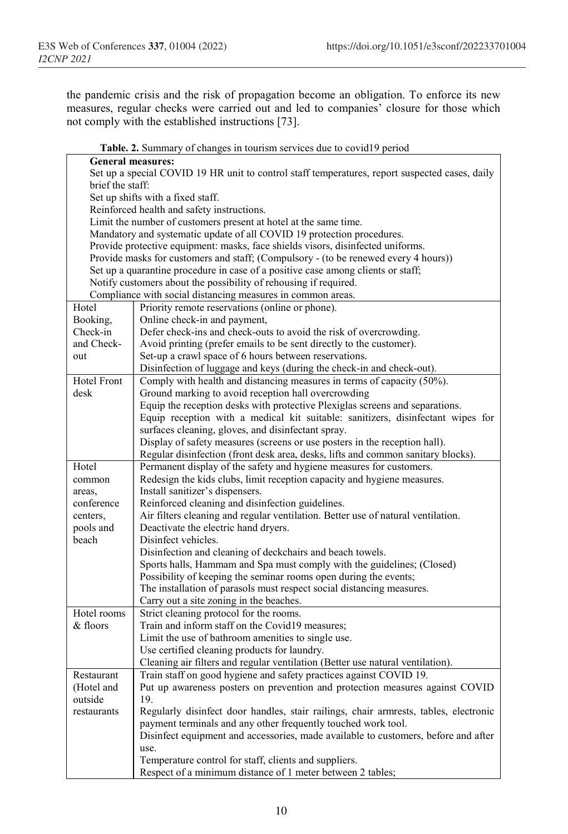the pandemic crisis and the risk of propagation become an obligation. To enforce its new measures, regular checks were carried out and led to companies' closure for those which not comply with the established instructions [73].

|                                   | Table. 2. Summary of changes in tourism services due to covid19 period                         |  |  |
|-----------------------------------|------------------------------------------------------------------------------------------------|--|--|
| <b>General measures:</b>          |                                                                                                |  |  |
|                                   | Set up a special COVID 19 HR unit to control staff temperatures, report suspected cases, daily |  |  |
| brief the staff:                  |                                                                                                |  |  |
| Set up shifts with a fixed staff. |                                                                                                |  |  |
|                                   | Reinforced health and safety instructions.                                                     |  |  |
|                                   | Limit the number of customers present at hotel at the same time.                               |  |  |
|                                   | Mandatory and systematic update of all COVID 19 protection procedures.                         |  |  |
|                                   | Provide protective equipment: masks, face shields visors, disinfected uniforms.                |  |  |
|                                   | Provide masks for customers and staff; (Compulsory - (to be renewed every 4 hours))            |  |  |
|                                   | Set up a quarantine procedure in case of a positive case among clients or staff;               |  |  |
|                                   | Notify customers about the possibility of rehousing if required.                               |  |  |
|                                   | Compliance with social distancing measures in common areas.                                    |  |  |
| Hotel                             | Priority remote reservations (online or phone).                                                |  |  |
| Booking,                          | Online check-in and payment,                                                                   |  |  |
| Check-in                          | Defer check-ins and check-outs to avoid the risk of overcrowding.                              |  |  |
| and Check-                        | Avoid printing (prefer emails to be sent directly to the customer).                            |  |  |
| out                               | Set-up a crawl space of 6 hours between reservations.                                          |  |  |
|                                   | Disinfection of luggage and keys (during the check-in and check-out).                          |  |  |
| <b>Hotel Front</b>                | Comply with health and distancing measures in terms of capacity (50%).                         |  |  |
| desk                              | Ground marking to avoid reception hall overcrowding                                            |  |  |
|                                   | Equip the reception desks with protective Plexiglas screens and separations.                   |  |  |
|                                   | Equip reception with a medical kit suitable: sanitizers, disinfectant wipes for                |  |  |
|                                   | surfaces cleaning, gloves, and disinfectant spray.                                             |  |  |
|                                   | Display of safety measures (screens or use posters in the reception hall).                     |  |  |
|                                   | Regular disinfection (front desk area, desks, lifts and common sanitary blocks).               |  |  |
| Hotel                             | Permanent display of the safety and hygiene measures for customers.                            |  |  |
| common                            | Redesign the kids clubs, limit reception capacity and hygiene measures.                        |  |  |
| areas,                            | Install sanitizer's dispensers.                                                                |  |  |
| conference                        | Reinforced cleaning and disinfection guidelines.                                               |  |  |
| centers,                          | Air filters cleaning and regular ventilation. Better use of natural ventilation.               |  |  |
| pools and                         | Deactivate the electric hand dryers.                                                           |  |  |
| beach                             | Disinfect vehicles.                                                                            |  |  |
|                                   | Disinfection and cleaning of deckchairs and beach towels.                                      |  |  |
|                                   | Sports halls, Hammam and Spa must comply with the guidelines; (Closed)                         |  |  |
|                                   | Possibility of keeping the seminar rooms open during the events;                               |  |  |
|                                   | The installation of parasols must respect social distancing measures.                          |  |  |
|                                   | Carry out a site zoning in the beaches.                                                        |  |  |
| Hotel rooms                       | Strict cleaning protocol for the rooms.                                                        |  |  |
| & floors                          | Train and inform staff on the Covid19 measures;                                                |  |  |
|                                   | Limit the use of bathroom amenities to single use.                                             |  |  |
|                                   | Use certified cleaning products for laundry.                                                   |  |  |
|                                   | Cleaning air filters and regular ventilation (Better use natural ventilation).                 |  |  |
| Restaurant                        | Train staff on good hygiene and safety practices against COVID 19.                             |  |  |
| (Hotel and                        | Put up awareness posters on prevention and protection measures against COVID                   |  |  |
| outside                           | 19.                                                                                            |  |  |
| restaurants                       | Regularly disinfect door handles, stair railings, chair armrests, tables, electronic           |  |  |
|                                   | payment terminals and any other frequently touched work tool.                                  |  |  |
|                                   | Disinfect equipment and accessories, made available to customers, before and after             |  |  |
|                                   | use.                                                                                           |  |  |
|                                   | Temperature control for staff, clients and suppliers.                                          |  |  |
|                                   | Respect of a minimum distance of 1 meter between 2 tables;                                     |  |  |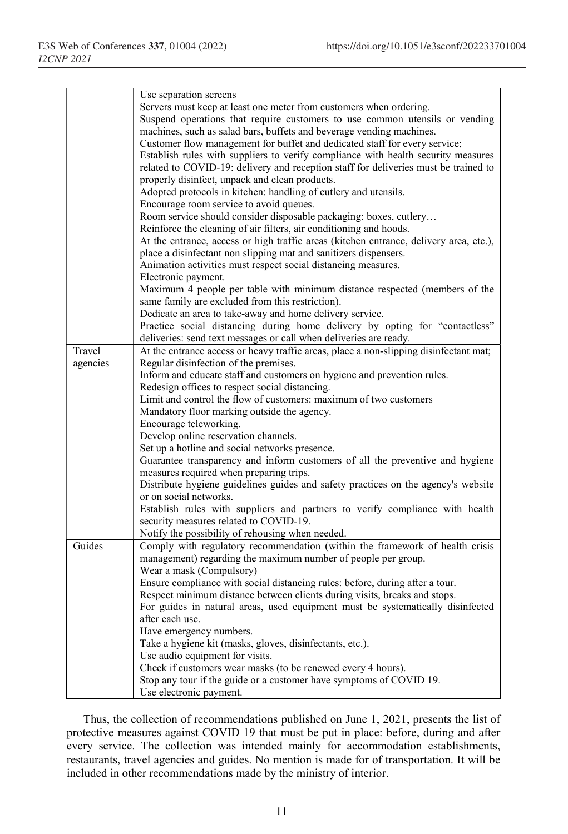|          | Use separation screens                                                                                                           |
|----------|----------------------------------------------------------------------------------------------------------------------------------|
|          | Servers must keep at least one meter from customers when ordering.                                                               |
|          | Suspend operations that require customers to use common utensils or vending                                                      |
|          | machines, such as salad bars, buffets and beverage vending machines.                                                             |
|          | Customer flow management for buffet and dedicated staff for every service;                                                       |
|          | Establish rules with suppliers to verify compliance with health security measures                                                |
|          | related to COVID-19: delivery and reception staff for deliveries must be trained to                                              |
|          |                                                                                                                                  |
|          | properly disinfect, unpack and clean products.<br>Adopted protocols in kitchen: handling of cutlery and utensils.                |
|          |                                                                                                                                  |
|          | Encourage room service to avoid queues.                                                                                          |
|          | Room service should consider disposable packaging: boxes, cutlery                                                                |
|          | Reinforce the cleaning of air filters, air conditioning and hoods.                                                               |
|          | At the entrance, access or high traffic areas (kitchen entrance, delivery area, etc.),                                           |
|          | place a disinfectant non slipping mat and sanitizers dispensers.                                                                 |
|          | Animation activities must respect social distancing measures.                                                                    |
|          | Electronic payment.                                                                                                              |
|          | Maximum 4 people per table with minimum distance respected (members of the                                                       |
|          | same family are excluded from this restriction).                                                                                 |
|          | Dedicate an area to take-away and home delivery service.                                                                         |
|          | Practice social distancing during home delivery by opting for "contactless"                                                      |
|          | deliveries: send text messages or call when deliveries are ready.                                                                |
| Travel   | At the entrance access or heavy traffic areas, place a non-slipping disinfectant mat;                                            |
| agencies | Regular disinfection of the premises.                                                                                            |
|          | Inform and educate staff and customers on hygiene and prevention rules.                                                          |
|          | Redesign offices to respect social distancing.                                                                                   |
|          | Limit and control the flow of customers: maximum of two customers                                                                |
|          | Mandatory floor marking outside the agency.                                                                                      |
|          | Encourage teleworking.                                                                                                           |
|          | Develop online reservation channels.                                                                                             |
|          | Set up a hotline and social networks presence.                                                                                   |
|          | Guarantee transparency and inform customers of all the preventive and hygiene                                                    |
|          | measures required when preparing trips.                                                                                          |
|          | Distribute hygiene guidelines guides and safety practices on the agency's website                                                |
|          | or on social networks.                                                                                                           |
|          | Establish rules with suppliers and partners to verify compliance with health                                                     |
|          | security measures related to COVID-19.                                                                                           |
| Guides   | Notify the possibility of rehousing when needed.<br>Comply with regulatory recommendation (within the framework of health crisis |
|          |                                                                                                                                  |
|          | management) regarding the maximum number of people per group.                                                                    |
|          | Wear a mask (Compulsory)                                                                                                         |
|          | Ensure compliance with social distancing rules: before, during after a tour.                                                     |
|          | Respect minimum distance between clients during visits, breaks and stops.                                                        |
|          | For guides in natural areas, used equipment must be systematically disinfected<br>after each use.                                |
|          |                                                                                                                                  |
|          | Have emergency numbers.<br>Take a hygiene kit (masks, gloves, disinfectants, etc.).                                              |
|          | Use audio equipment for visits.                                                                                                  |
|          | Check if customers wear masks (to be renewed every 4 hours).                                                                     |
|          | Stop any tour if the guide or a customer have symptoms of COVID 19.                                                              |
|          | Use electronic payment.                                                                                                          |
|          |                                                                                                                                  |

Thus, the collection of recommendations published on June 1, 2021, presents the list of protective measures against COVID 19 that must be put in place: before, during and after every service. The collection was intended mainly for accommodation establishments, restaurants, travel agencies and guides. No mention is made for of transportation. It will be included in other recommendations made by the ministry of interior.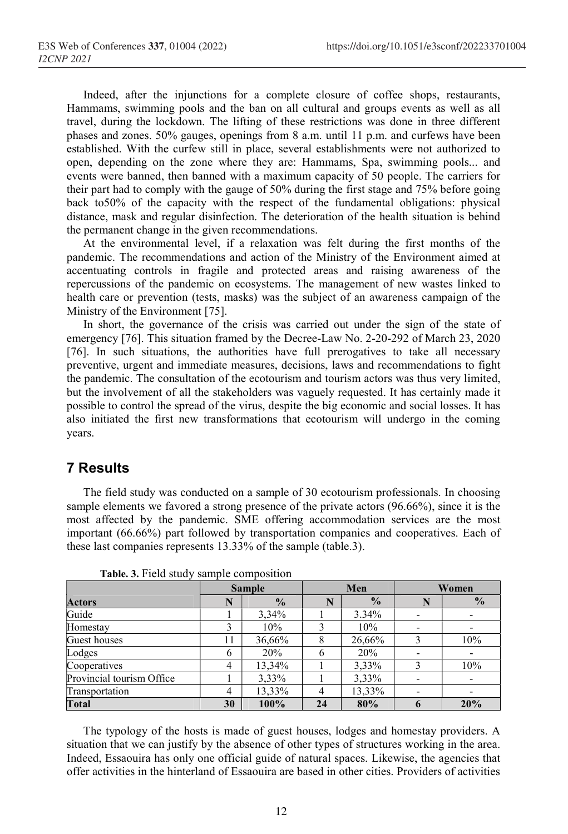Indeed, after the injunctions for a complete closure of coffee shops, restaurants, Hammams, swimming pools and the ban on all cultural and groups events as well as all travel, during the lockdown. The lifting of these restrictions was done in three different phases and zones. 50% gauges, openings from 8 a.m. until 11 p.m. and curfews have been established. With the curfew still in place, several establishments were not authorized to open, depending on the zone where they are: Hammams, Spa, swimming pools... and events were banned, then banned with a maximum capacity of 50 people. The carriers for their part had to comply with the gauge of 50% during the first stage and 75% before going back to50% of the capacity with the respect of the fundamental obligations: physical distance, mask and regular disinfection. The deterioration of the health situation is behind the permanent change in the given recommendations.

At the environmental level, if a relaxation was felt during the first months of the pandemic. The recommendations and action of the Ministry of the Environment aimed at accentuating controls in fragile and protected areas and raising awareness of the repercussions of the pandemic on ecosystems. The management of new wastes linked to health care or prevention (tests, masks) was the subject of an awareness campaign of the Ministry of the Environment [75].

In short, the governance of the crisis was carried out under the sign of the state of emergency [76]. This situation framed by the Decree-Law No. 2-20-292 of March 23, 2020 [76]. In such situations, the authorities have full prerogatives to take all necessary preventive, urgent and immediate measures, decisions, laws and recommendations to fight the pandemic. The consultation of the ecotourism and tourism actors was thus very limited, but the involvement of all the stakeholders was vaguely requested. It has certainly made it possible to control the spread of the virus, despite the big economic and social losses. It has also initiated the first new transformations that ecotourism will undergo in the coming years.

## 7 Results

The field study was conducted on a sample of 30 ecotourism professionals. In choosing sample elements we favored a strong presence of the private actors (96.66%), since it is the most affected by the pandemic. SME offering accommodation services are the most important (66.66%) part followed by transportation companies and cooperatives. Each of these last companies represents 13.33% of the sample (table.3).

|                           | <b>Sample</b> |               | Men |               | Women                    |               |
|---------------------------|---------------|---------------|-----|---------------|--------------------------|---------------|
| <b>Actors</b>             | N             | $\frac{0}{0}$ | N   | $\frac{0}{0}$ |                          | $\frac{0}{0}$ |
| Guide                     |               | 3,34%         |     | $3.34\%$      | -                        |               |
| Homestay                  |               | 10%           |     | 10%           | $\overline{\phantom{a}}$ |               |
| Guest houses              | 11            | 36,66%        |     | 26,66%        |                          | 10%           |
| Lodges                    | 6             | 20%           |     | 20%           |                          |               |
| Cooperatives              | 4             | 13,34%        |     | 3,33%         |                          | 10%           |
| Provincial tourism Office |               | 3,33%         |     | 3,33%         |                          |               |
| Transportation            | 4             | 13,33%        | 4   | 13,33%        |                          |               |
| <b>Total</b>              | 30            | 100%          | 24  | 80%           |                          | 20%           |

Table. 3. Field study sample composition

The typology of the hosts is made of guest houses, lodges and homestay providers. A situation that we can justify by the absence of other types of structures working in the area. Indeed, Essaouira has only one official guide of natural spaces. Likewise, the agencies that offer activities in the hinterland of Essaouira are based in other cities. Providers of activities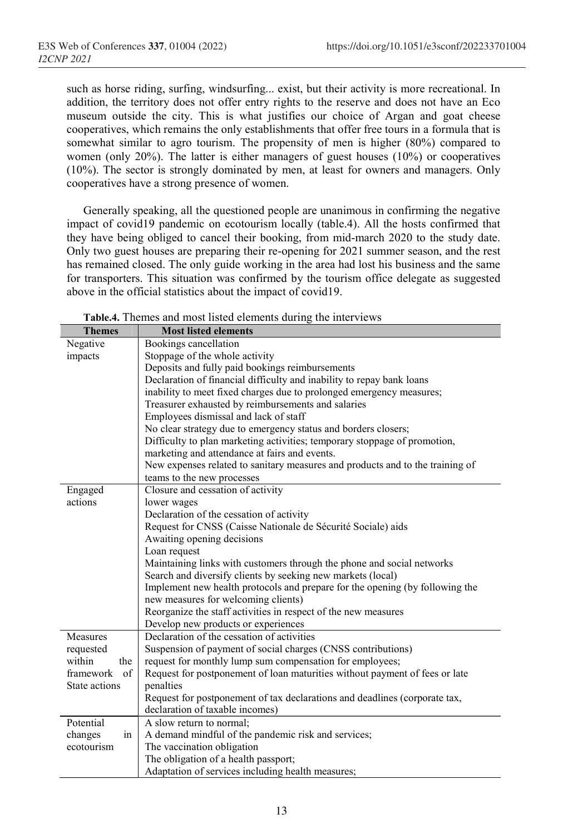such as horse riding, surfing, windsurfing... exist, but their activity is more recreational. In addition, the territory does not offer entry rights to the reserve and does not have an Eco museum outside the city. This is what justifies our choice of Argan and goat cheese cooperatives, which remains the only establishments that offer free tours in a formula that is somewhat similar to agro tourism. The propensity of men is higher (80%) compared to women (only 20%). The latter is either managers of guest houses (10%) or cooperatives (10%). The sector is strongly dominated by men, at least for owners and managers. Only cooperatives have a strong presence of women.

Generally speaking, all the questioned people are unanimous in confirming the negative impact of covid19 pandemic on ecotourism locally (table.4). All the hosts confirmed that they have being obliged to cancel their booking, from mid-march 2020 to the study date. Only two guest houses are preparing their re-opening for 2021 summer season, and the rest has remained closed. The only guide working in the area had lost his business and the same for transporters. This situation was confirmed by the tourism office delegate as suggested above in the official statistics about the impact of covid19.

|               | <b>radical</b> . Themes and most nated elements during the micrylews          |  |  |
|---------------|-------------------------------------------------------------------------------|--|--|
| <b>Themes</b> | <b>Most listed elements</b>                                                   |  |  |
| Negative      | Bookings cancellation                                                         |  |  |
| impacts       | Stoppage of the whole activity                                                |  |  |
|               | Deposits and fully paid bookings reimbursements                               |  |  |
|               | Declaration of financial difficulty and inability to repay bank loans         |  |  |
|               | inability to meet fixed charges due to prolonged emergency measures;          |  |  |
|               | Treasurer exhausted by reimbursements and salaries                            |  |  |
|               | Employees dismissal and lack of staff                                         |  |  |
|               | No clear strategy due to emergency status and borders closers;                |  |  |
|               | Difficulty to plan marketing activities; temporary stoppage of promotion,     |  |  |
|               | marketing and attendance at fairs and events.                                 |  |  |
|               | New expenses related to sanitary measures and products and to the training of |  |  |
|               | teams to the new processes                                                    |  |  |
| Engaged       | Closure and cessation of activity                                             |  |  |
| actions       | lower wages                                                                   |  |  |
|               | Declaration of the cessation of activity                                      |  |  |
|               | Request for CNSS (Caisse Nationale de Sécurité Sociale) aids                  |  |  |
|               | Awaiting opening decisions                                                    |  |  |
|               | Loan request                                                                  |  |  |
|               | Maintaining links with customers through the phone and social networks        |  |  |
|               | Search and diversify clients by seeking new markets (local)                   |  |  |
|               | Implement new health protocols and prepare for the opening (by following the  |  |  |
|               | new measures for welcoming clients)                                           |  |  |
|               | Reorganize the staff activities in respect of the new measures                |  |  |
|               | Develop new products or experiences                                           |  |  |
| Measures      | Declaration of the cessation of activities                                    |  |  |
| requested     | Suspension of payment of social charges (CNSS contributions)                  |  |  |
| within<br>the | request for monthly lump sum compensation for employees;                      |  |  |
| framework of  | Request for postponement of loan maturities without payment of fees or late   |  |  |
| State actions | penalties                                                                     |  |  |
|               |                                                                               |  |  |
|               | Request for postponement of tax declarations and deadlines (corporate tax,    |  |  |
|               | declaration of taxable incomes)                                               |  |  |
| Potential     | A slow return to normal;                                                      |  |  |
| changes<br>in | A demand mindful of the pandemic risk and services;                           |  |  |
| ecotourism    | The vaccination obligation                                                    |  |  |
|               | The obligation of a health passport;                                          |  |  |
|               | Adaptation of services including health measures;                             |  |  |

Table.4. Themes and most listed elements during the interviews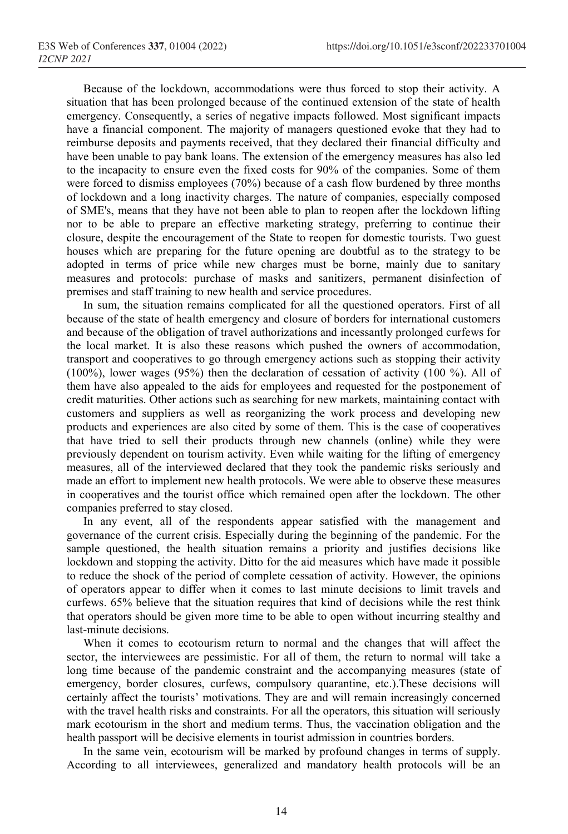Because of the lockdown, accommodations were thus forced to stop their activity. A situation that has been prolonged because of the continued extension of the state of health emergency. Consequently, a series of negative impacts followed. Most significant impacts have a financial component. The majority of managers questioned evoke that they had to reimburse deposits and payments received, that they declared their financial difficulty and have been unable to pay bank loans. The extension of the emergency measures has also led to the incapacity to ensure even the fixed costs for 90% of the companies. Some of them were forced to dismiss employees (70%) because of a cash flow burdened by three months of lockdown and a long inactivity charges. The nature of companies, especially composed of SME's, means that they have not been able to plan to reopen after the lockdown lifting nor to be able to prepare an effective marketing strategy, preferring to continue their closure, despite the encouragement of the State to reopen for domestic tourists. Two guest houses which are preparing for the future opening are doubtful as to the strategy to be adopted in terms of price while new charges must be borne, mainly due to sanitary measures and protocols: purchase of masks and sanitizers, permanent disinfection of premises and staff training to new health and service procedures.

In sum, the situation remains complicated for all the questioned operators. First of all because of the state of health emergency and closure of borders for international customers and because of the obligation of travel authorizations and incessantly prolonged curfews for the local market. It is also these reasons which pushed the owners of accommodation, transport and cooperatives to go through emergency actions such as stopping their activity (100%), lower wages (95%) then the declaration of cessation of activity (100 %). All of them have also appealed to the aids for employees and requested for the postponement of credit maturities. Other actions such as searching for new markets, maintaining contact with customers and suppliers as well as reorganizing the work process and developing new products and experiences are also cited by some of them. This is the case of cooperatives that have tried to sell their products through new channels (online) while they were previously dependent on tourism activity. Even while waiting for the lifting of emergency measures, all of the interviewed declared that they took the pandemic risks seriously and made an effort to implement new health protocols. We were able to observe these measures in cooperatives and the tourist office which remained open after the lockdown. The other companies preferred to stay closed.

In any event, all of the respondents appear satisfied with the management and governance of the current crisis. Especially during the beginning of the pandemic. For the sample questioned, the health situation remains a priority and justifies decisions like lockdown and stopping the activity. Ditto for the aid measures which have made it possible to reduce the shock of the period of complete cessation of activity. However, the opinions of operators appear to differ when it comes to last minute decisions to limit travels and curfews. 65% believe that the situation requires that kind of decisions while the rest think that operators should be given more time to be able to open without incurring stealthy and last-minute decisions.

When it comes to ecotourism return to normal and the changes that will affect the sector, the interviewees are pessimistic. For all of them, the return to normal will take a long time because of the pandemic constraint and the accompanying measures (state of emergency, border closures, curfews, compulsory quarantine, etc.).These decisions will certainly affect the tourists' motivations. They are and will remain increasingly concerned with the travel health risks and constraints. For all the operators, this situation will seriously mark ecotourism in the short and medium terms. Thus, the vaccination obligation and the health passport will be decisive elements in tourist admission in countries borders.

In the same vein, ecotourism will be marked by profound changes in terms of supply. According to all interviewees, generalized and mandatory health protocols will be an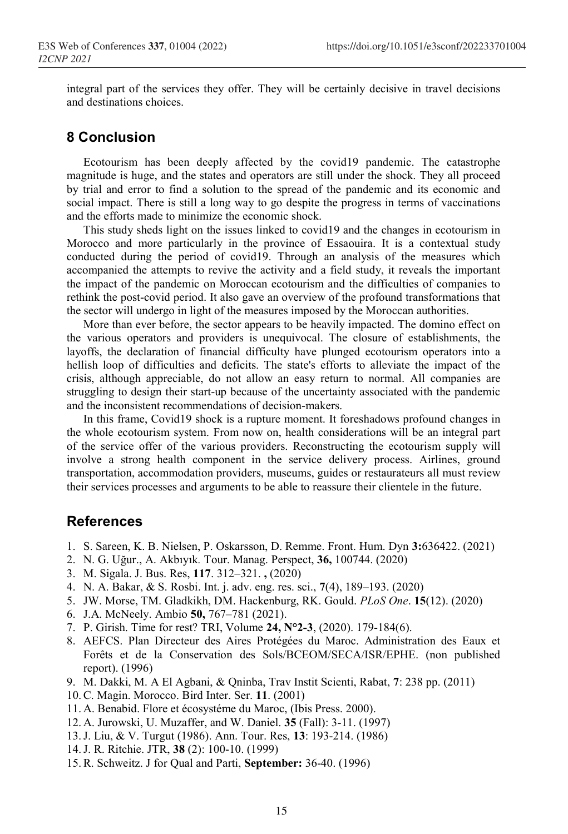integral part of the services they offer. They will be certainly decisive in travel decisions and destinations choices.

## 8 Conclusion

Ecotourism has been deeply affected by the covid19 pandemic. The catastrophe magnitude is huge, and the states and operators are still under the shock. They all proceed by trial and error to find a solution to the spread of the pandemic and its economic and social impact. There is still a long way to go despite the progress in terms of vaccinations and the efforts made to minimize the economic shock.

This study sheds light on the issues linked to covid19 and the changes in ecotourism in Morocco and more particularly in the province of Essaouira. It is a contextual study conducted during the period of covid19. Through an analysis of the measures which accompanied the attempts to revive the activity and a field study, it reveals the important the impact of the pandemic on Moroccan ecotourism and the difficulties of companies to rethink the post-covid period. It also gave an overview of the profound transformations that the sector will undergo in light of the measures imposed by the Moroccan authorities.

More than ever before, the sector appears to be heavily impacted. The domino effect on the various operators and providers is unequivocal. The closure of establishments, the layoffs, the declaration of financial difficulty have plunged ecotourism operators into a hellish loop of difficulties and deficits. The state's efforts to alleviate the impact of the crisis, although appreciable, do not allow an easy return to normal. All companies are struggling to design their start-up because of the uncertainty associated with the pandemic and the inconsistent recommendations of decision-makers.

In this frame, Covid19 shock is a rupture moment. It foreshadows profound changes in the whole ecotourism system. From now on, health considerations will be an integral part of the service offer of the various providers. Reconstructing the ecotourism supply will involve a strong health component in the service delivery process. Airlines, ground transportation, accommodation providers, museums, guides or restaurateurs all must review their services processes and arguments to be able to reassure their clientele in the future.

## References

- 1. S. Sareen, K. B. Nielsen, P. Oskarsson, D. Remme. Front. Hum. Dyn 3:636422. (2021)
- 2. N. G. Uğur., A. Akbıyık. Tour. Manag. Perspect, 36, 100744. (2020)
- 3. M. Sigala. J. Bus. Res, 117. 312–321. , (2020)
- 4. N. A. Bakar, & S. Rosbi. Int. j. adv. eng. res. sci., 7(4), 189–193. (2020)
- 5. JW. Morse, TM. Gladkikh, DM. Hackenburg, RK. Gould. PLoS One. 15(12). (2020)
- 6. J.A. McNeely. Ambio 50, 767–781 (2021).
- 7. P. Girish. Time for rest? TRI, Volume 24, N°2-3, (2020). 179-184(6).
- 8. AEFCS. Plan Directeur des Aires Protégées du Maroc. Administration des Eaux et Forêts et de la Conservation des Sols/BCEOM/SECA/ISR/EPHE. (non published report). (1996)
- 9. M. Dakki, M. A El Agbani, & Qninba, Trav Instit Scienti, Rabat, 7: 238 pp. (2011)
- 10.C. Magin. Morocco. Bird Inter. Ser. 11. (2001)
- 11. A. Benabid. Flore et écosystéme du Maroc, (Ibis Press. 2000).
- 12. A. Jurowski, U. Muzaffer, and W. Daniel. 35 (Fall): 3-11. (1997)
- 13.J. Liu, & V. Turgut (1986). Ann. Tour. Res, 13: 193-214. (1986)
- 14.J. R. Ritchie. JTR, 38 (2): 100-10. (1999)
- 15.R. Schweitz. J for Qual and Parti, September: 36-40. (1996)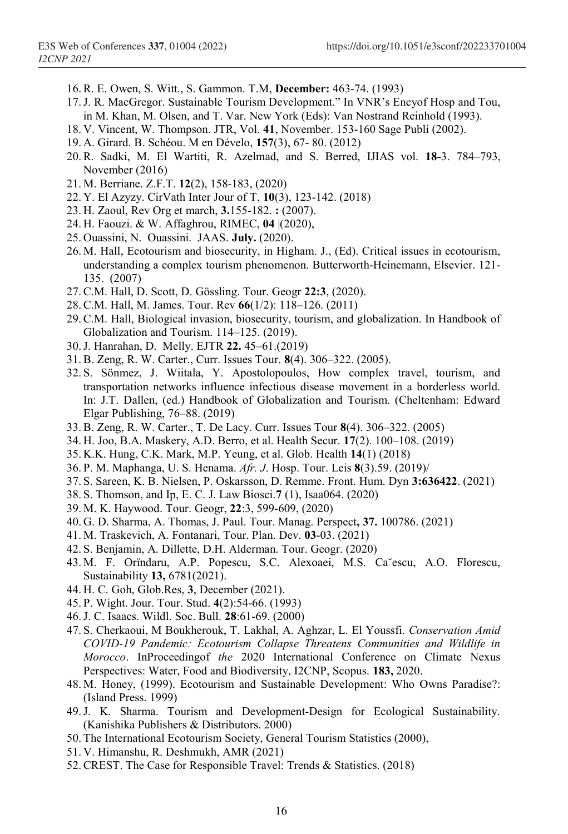- 16.R. E. Owen, S. Witt., S. Gammon. T.M, December: 463-74. (1993)
- 17.J. R. MacGregor. Sustainable Tourism Development." In VNR's Encyof Hosp and Tou, in M. Khan, M. Olsen, and T. Var. New York (Eds): Van Nostrand Reinhold (1993).
- 18. V. Vincent, W. Thompson. JTR, Vol. 41, November. 153-160 Sage Publi (2002).
- 19. A. Girard. B. Schéou. M en Dévelo, 157(3), 67- 80. (2012)
- 20.R. Sadki, M. El Wartiti, R. Azelmad, and S. Berred, IJIAS vol. 18-3. 784–793, November (2016)
- 21. M. Berriane. Z.F.T. 12(2), 158-183, (2020)
- 22. Y. El Azyzy. CirVath Inter Jour of T, 10(3), 123-142. (2018)
- 23. H. Zaoul, Rev Org et march, 3.155-182. : (2007).
- 24. H. Faouzi. & W. Affaghrou, RIMEC, 04 |(2020),
- 25. Ouassini, N. Ouassini. JAAS. July. (2020).
- 26. M. Hall, Ecotourism and biosecurity, in Higham. J., (Ed). Critical issues in ecotourism, understanding a complex tourism phenomenon. Butterworth-Heinemann, Elsevier. 121- 135. (2007)
- 27.C.M. Hall, D. Scott, D. Gössling. Tour. Geogr 22:3, (2020).
- 28.C.M. Hall, M. James. Tour. Rev 66(1/2): 118–126. (2011)
- 29.C.M. Hall, Biological invasion, biosecurity, tourism, and globalization. In Handbook of Globalization and Tourism. 114–125. (2019).
- 30.J. Hanrahan, D. Melly. EJTR 22. 45–61.(2019)
- 31.B. Zeng, R. W. Carter., Curr. Issues Tour. 8(4). 306–322. (2005).
- 32. S. Sönmez, J. Wiitala, Y. Apostolopoulos, How complex travel, tourism, and transportation networks influence infectious disease movement in a borderless world. In: J.T. Dallen, (ed.) Handbook of Globalization and Tourism. (Cheltenham: Edward Elgar Publishing, 76–88. (2019)
- 33.B. Zeng, R. W. Carter., T. De Lacy. Curr. Issues Tour 8(4). 306–322. (2005)
- 34. H. Joo, B.A. Maskery, A.D. Berro, et al. Health Secur. 17(2). 100–108. (2019)
- 35. K.K. Hung, C.K. Mark, M.P. Yeung, et al. Glob. Health 14(1) (2018)
- 36. P. M. Maphanga, U. S. Henama. Afr. J. Hosp. Tour. Leis 8(3).59. (2019)/
- 37. S. Sareen, K. B. Nielsen, P. Oskarsson, D. Remme. Front. Hum. Dyn 3:636422. (2021)
- 38. S. Thomson, and Ip, E. C. J. Law Biosci.7 (1), Isaa064. (2020)
- 39. M. K. Haywood. Tour. Geogr, 22:3, 599-609, (2020)
- 40. G. D. Sharma, A. Thomas, J. Paul. Tour. Manag. Perspect, 37. 100786. (2021)
- 41. M. Traskevich, A. Fontanari, Tour. Plan. Dev. 03-03. (2021)
- 42. S. Benjamin, A. Dillette, D.H. Alderman. Tour. Geogr. (2020)
- 43. M. F. Orïndaru, A.P. Popescu, S.C. Alexoaei, M.S. Ca˘escu, A.O. Florescu, Sustainability 13, 6781(2021).
- 44. H. C. Goh, Glob.Res, 3, December (2021).
- 45. P. Wight. Jour. Tour. Stud. 4(2):54-66. (1993)
- 46.J. C. Isaacs. Wildl. Soc. Bull. 28:61-69. (2000)
- 47. S. Cherkaoui, M Boukherouk, T. Lakhal, A. Aghzar, L. El Youssfi. Conservation Amid COVID-19 Pandemic: Ecotourism Collapse Threatens Communities and Wildlife in Morocco. InProceedingof the 2020 International Conference on Climate Nexus Perspectives: Water, Food and Biodiversity, I2CNP, Scopus. 183, 2020.
- 48. M. Honey, (1999). Ecotourism and Sustainable Development: Who Owns Paradise?: (Island Press. 1999)
- 49.J. K. Sharma. Tourism and Development-Design for Ecological Sustainability. (Kanishika Publishers & Distributors. 2000)
- 50. The International Ecotourism Society, General Tourism Statistics (2000),
- 51. V. Himanshu, R. Deshmukh, AMR (2021)
- 52.CREST. The Case for Responsible Travel: Trends & Statistics. (2018)